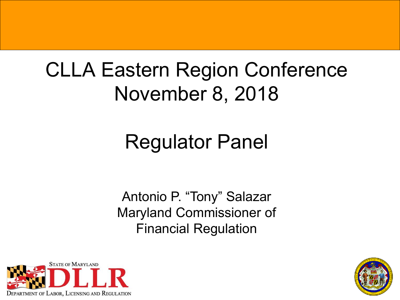## CLLA Eastern Region Conference November 8, 2018

# Regulator Panel

Antonio P. "Tony" Salazar Maryland Commissioner of Financial Regulation



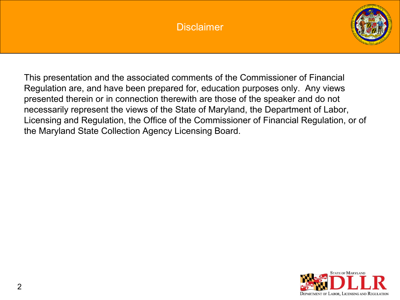#### **Disclaimer**



This presentation and the associated comments of the Commissioner of Financial Regulation are, and have been prepared for, education purposes only. Any views presented therein or in connection therewith are those of the speaker and do not necessarily represent the views of the State of Maryland, the Department of Labor, Licensing and Regulation, the Office of the Commissioner of Financial Regulation, or of the Maryland State Collection Agency Licensing Board.

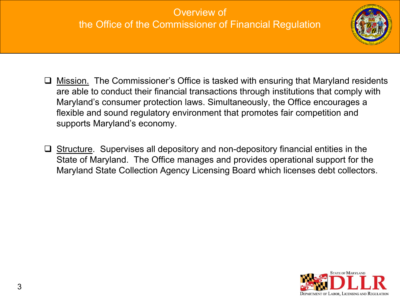#### Overview of the Office of the Commissioner of Financial Regulation



- **Mission.** The Commissioner's Office is tasked with ensuring that Maryland residents are able to conduct their financial transactions through institutions that comply with Maryland's consumer protection laws. Simultaneously, the Office encourages a flexible and sound regulatory environment that promotes fair competition and supports Maryland's economy.
- $\Box$  Structure. Supervises all depository and non-depository financial entities in the State of Maryland. The Office manages and provides operational support for the Maryland State Collection Agency Licensing Board which licenses debt collectors.

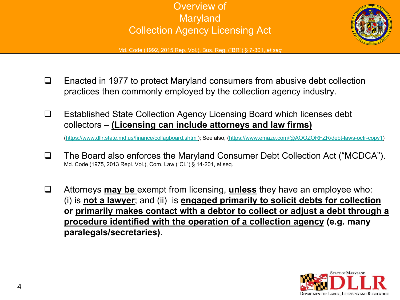



Md. Code (1992, 2015 Rep. Vol.), Bus. Reg. ("BR") § 7-301, *et seq*

- $\Box$  Enacted in 1977 to protect Maryland consumers from abusive debt collection practices then commonly employed by the collection agency industry.
- Established State Collection Agency Licensing Board which licenses debt collectors – **(Licensing can include attorneys and law firms)**

([https://www.dllr.state.md.us/finance/collagboard.shtml\)](https://www.dllr.state.md.us/finance/collagboard.shtml); See also, [\(https://www.emaze.com/@AOOZORFZR/debt-laws-ocfr-copy1\)](https://www.emaze.com/@AOOZORFZR/debt-laws-ocfr-copy1)

- □ The Board also enforces the Maryland Consumer Debt Collection Act ("MCDCA"). Md. Code (1975, 2013 Repl. Vol.), Com. Law ("CL") § 14-201, et seq.
- Attorneys **may be** exempt from licensing, **unless** they have an employee who: (i) is **not a lawyer**; and (ii) is **engaged primarily to solicit debts for collection or primarily makes contact with a debtor to collect or adjust a debt through a procedure identified with the operation of a collection agency (e.g. many paralegals/secretaries)**.

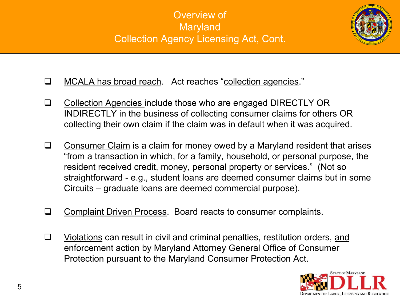### Overview of Maryland Collection Agency Licensing Act, Cont.



- □ MCALA has broad reach. Act reaches "collection agencies."
- □ Collection Agencies include those who are engaged DIRECTLY OR INDIRECTLY in the business of collecting consumer claims for others OR collecting their own claim if the claim was in default when it was acquired.
- $\Box$  Consumer Claim is a claim for money owed by a Maryland resident that arises "from a transaction in which, for a family, household, or personal purpose, the resident received credit, money, personal property or services." (Not so straightforward - e.g., student loans are deemed consumer claims but in some Circuits – graduate loans are deemed commercial purpose).
- □ Complaint Driven Process. Board reacts to consumer complaints.
- $\Box$  Violations can result in civil and criminal penalties, restitution orders, and enforcement action by Maryland Attorney General Office of Consumer Protection pursuant to the Maryland Consumer Protection Act.

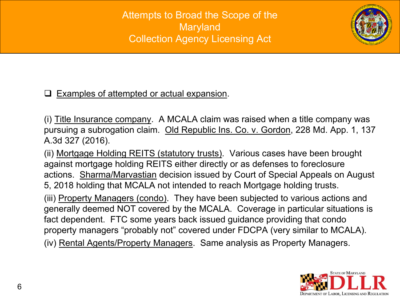Attempts to Broad the Scope of the Maryland Collection Agency Licensing Act



#### $\Box$  Examples of attempted or actual expansion.

(i) Title Insurance company. A MCALA claim was raised when a title company was pursuing a subrogation claim. Old Republic Ins. Co. v. Gordon, 228 Md. App. 1, 137 A.3d 327 (2016).

(ii) Mortgage Holding REITS (statutory trusts). Various cases have been brought against mortgage holding REITS either directly or as defenses to foreclosure actions. Sharma/Marvastian decision issued by Court of Special Appeals on August 5, 2018 holding that MCALA not intended to reach Mortgage holding trusts. (iii) Property Managers (condo). They have been subjected to various actions and generally deemed NOT covered by the MCALA. Coverage in particular situations is fact dependent. FTC some years back issued guidance providing that condo property managers "probably not" covered under FDCPA (very similar to MCALA). (iv) Rental Agents/Property Managers. Same analysis as Property Managers.

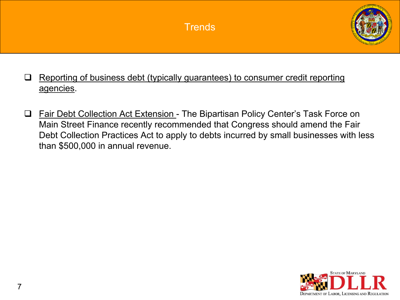

- $\Box$  Reporting of business debt (typically guarantees) to consumer credit reporting agencies.
- □ Fair Debt Collection Act Extension The Bipartisan Policy Center's Task Force on Main Street Finance recently recommended that Congress should amend the Fair Debt Collection Practices Act to apply to debts incurred by small businesses with less than \$500,000 in annual revenue.